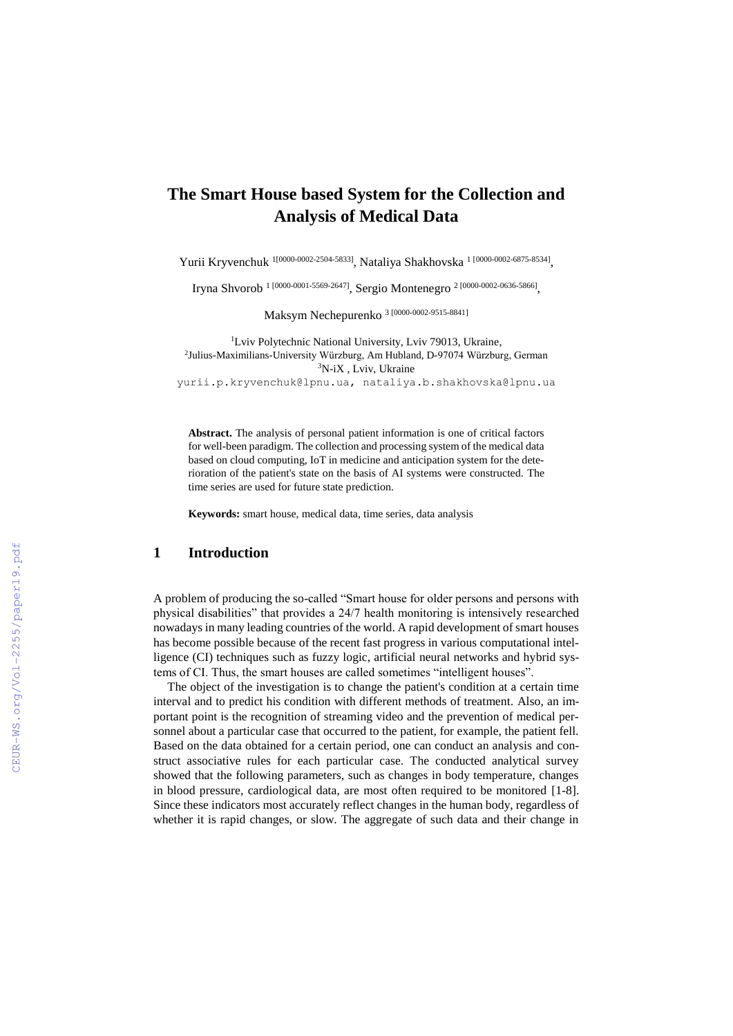# **The Smart House based System for the Collection and Analysis of Medical Data**

Yurii Kryvenchuk <sup>[1\[0000-0002-2504-5833\]](https://www.scopus.com/redirect.uri?url=http://www.orcid.org/0000-0002-2504-5833&authorId=57198358655&origin=AuthorProfile&orcId=0000-0002-2504-5833&category=orcidLink)</sup>, Nataliya Shakhovska <sup>1 [0000-0002-6875-8534]</sup>,

Iryna Shvorob<sup> 1 [\[0000-0001-5569-2647\]](https://www.scopus.com/redirect.uri?url=http://www.orcid.org/0000-0002-2504-5833&authorId=57198358655&origin=AuthorProfile&orcId=0000-0002-2504-5833&category=orcidLink)</sup>, Sergio Montenegro<sup>2 [0000-0002-0636-5866],</sup>

Maksym Nechepurenko <sup>3</sup> [\[0000-0002-9515-8841\]](https://orcid.org/0000-0002-9515-8841?fbclid=IwAR2QSgFCg60JXUY-Tmor8iergrXM18mW1q1V-p-rVVJfaYg_ylcGa9d2nZI)

<sup>1</sup>Lviv Polytechnic National University, Lviv 79013, Ukraine, 2 Julius-Maximilians-University Würzburg, Am Hubland, D-97074 Würzburg, German <sup>3</sup>N-iX , Lviv, Ukraine yurii.p.kryvenchuk@lpnu.ua, nataliya.b.shakhovska@lpnu.ua

**Abstract.** The analysis of personal patient information is one of critical factors for well-been paradigm. The collection and processing system of the medical data based on cloud computing, IoT in medicine and anticipation system for the deterioration of the patient's state on the basis of AI systems were constructed. The time series are used for future state prediction.

**Keywords:** smart house, medical data, time series, data analysis

## **1 Introduction**

A problem of producing the so-called "Smart house for older persons and persons with physical disabilities" that provides a 24/7 health monitoring is intensively researched nowadays in many leading countries of the world. A rapid development of smart houses has become possible because of the recent fast progress in various computational intelligence (CI) techniques such as fuzzy logic, artificial neural networks and hybrid systems of CI. Thus, the smart houses are called sometimes "intelligent houses".

The object of the investigation is to change the patient's condition at a certain time interval and to predict his condition with different methods of treatment. Also, an important point is the recognition of streaming video and the prevention of medical personnel about a particular case that occurred to the patient, for example, the patient fell. Based on the data obtained for a certain period, one can conduct an analysis and construct associative rules for each particular case. The conducted analytical survey showed that the following parameters, such as changes in body temperature, changes in blood pressure, cardiological data, are most often required to be monitored [1-8]. Since these indicators most accurately reflect changes in the human body, regardless of whether it is rapid changes, or slow. The aggregate of such data and their change in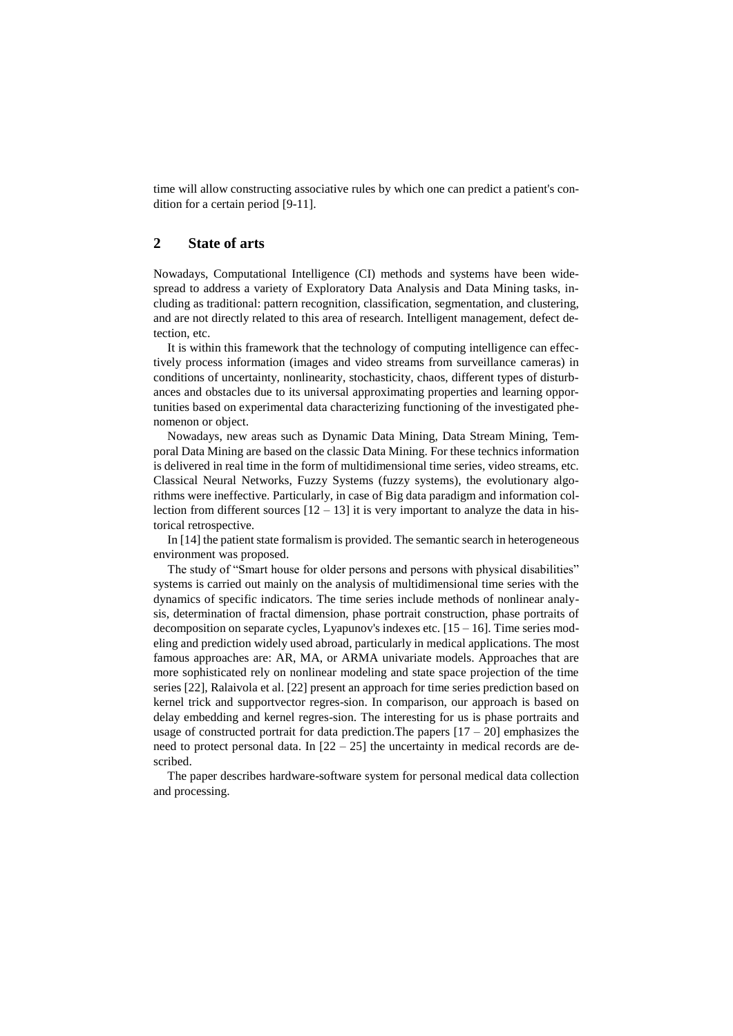time will allow constructing associative rules by which one can predict a patient's condition for a certain period [9-11].

## **2 State of arts**

Nowadays, Computational Intelligence (CI) methods and systems have been widespread to address a variety of Exploratory Data Analysis and Data Mining tasks, including as traditional: pattern recognition, classification, segmentation, and clustering, and are not directly related to this area of research. Intelligent management, defect detection, etc.

It is within this framework that the technology of computing intelligence can effectively process information (images and video streams from surveillance cameras) in conditions of uncertainty, nonlinearity, stochasticity, chaos, different types of disturbances and obstacles due to its universal approximating properties and learning opportunities based on experimental data characterizing functioning of the investigated phenomenon or object.

Nowadays, new areas such as Dynamic Data Mining, Data Stream Mining, Temporal Data Mining are based on the classic Data Mining. For these technics information is delivered in real time in the form of multidimensional time series, video streams, etc. Classical Neural Networks, Fuzzy Systems (fuzzy systems), the evolutionary algorithms were ineffective. Particularly, in case of Big data paradigm and information collection from different sources  $[12 - 13]$  it is very important to analyze the data in historical retrospective.

In [14] the patient state formalism is provided. The semantic search in heterogeneous environment was proposed.

The study of "Smart house for older persons and persons with physical disabilities" systems is carried out mainly on the analysis of multidimensional time series with the dynamics of specific indicators. The time series include methods of nonlinear analysis, determination of fractal dimension, phase portrait construction, phase portraits of decomposition on separate cycles, Lyapunov's indexes etc.  $[15 - 16]$ . Time series modeling and prediction widely used abroad, particularly in medical applications. The most famous approaches are: AR, MA, or ARMA univariate models. Approaches that are more sophisticated rely on nonlinear modeling and state space projection of the time series [22], Ralaivola et al. [22] present an approach for time series prediction based on kernel trick and supportvector regres-sion. In comparison, our approach is based on delay embedding and kernel regres-sion. The interesting for us is phase portraits and usage of constructed portrait for data prediction. The papers  $[17 - 20]$  emphasizes the need to protect personal data. In  $[22 - 25]$  the uncertainty in medical records are described.

The paper describes hardware-software system for personal medical data collection and processing.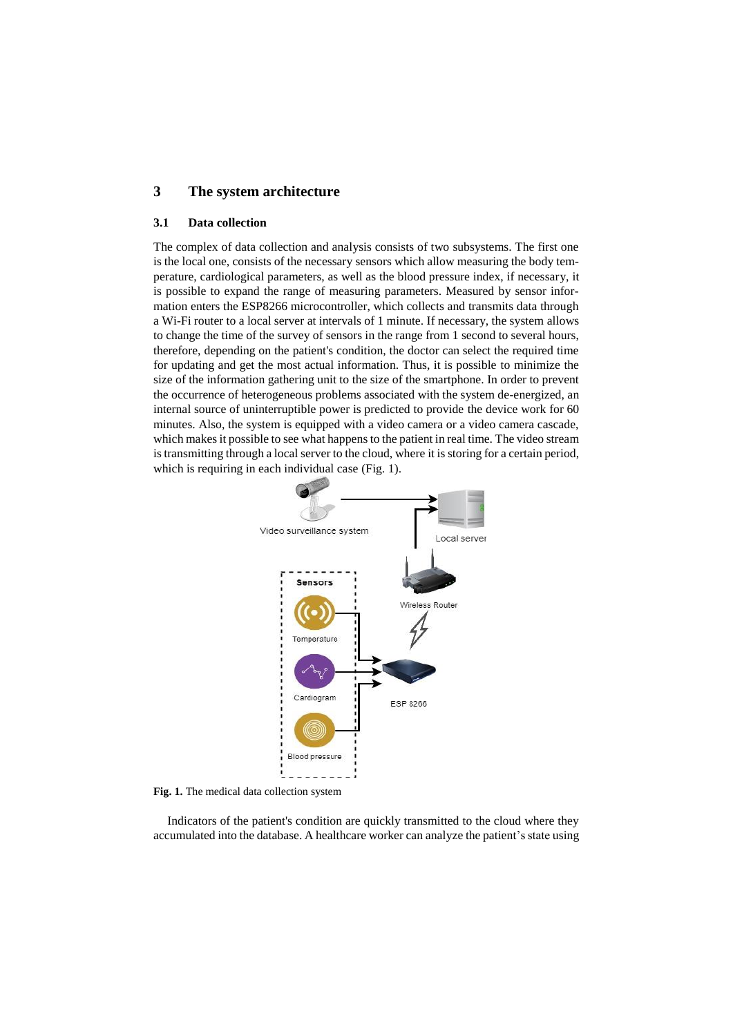## **3 The system architecture**

#### **3.1 Data collection**

The complex of data collection and analysis consists of two subsystems. The first one is the local one, consists of the necessary sensors which allow measuring the body temperature, cardiological parameters, as well as the blood pressure index, if necessary, it is possible to expand the range of measuring parameters. Measured by sensor information enters the ESP8266 microcontroller, which collects and transmits data through a Wi-Fi router to a local server at intervals of 1 minute. If necessary, the system allows to change the time of the survey of sensors in the range from 1 second to several hours, therefore, depending on the patient's condition, the doctor can select the required time for updating and get the most actual information. Thus, it is possible to minimize the size of the information gathering unit to the size of the smartphone. In order to prevent the occurrence of heterogeneous problems associated with the system de-energized, an internal source of uninterruptible power is predicted to provide the device work for 60 minutes. Also, the system is equipped with a video camera or a video camera cascade, which makes it possible to see what happens to the patient in real time. The video stream is transmitting through a local server to the cloud, where it is storing for a certain period, which is requiring in each individual case (Fig. 1).



**Fig. 1.** The medical data collection system

Indicators of the patient's condition are quickly transmitted to the cloud where they accumulated into the database. A healthcare worker can analyze the patient's state using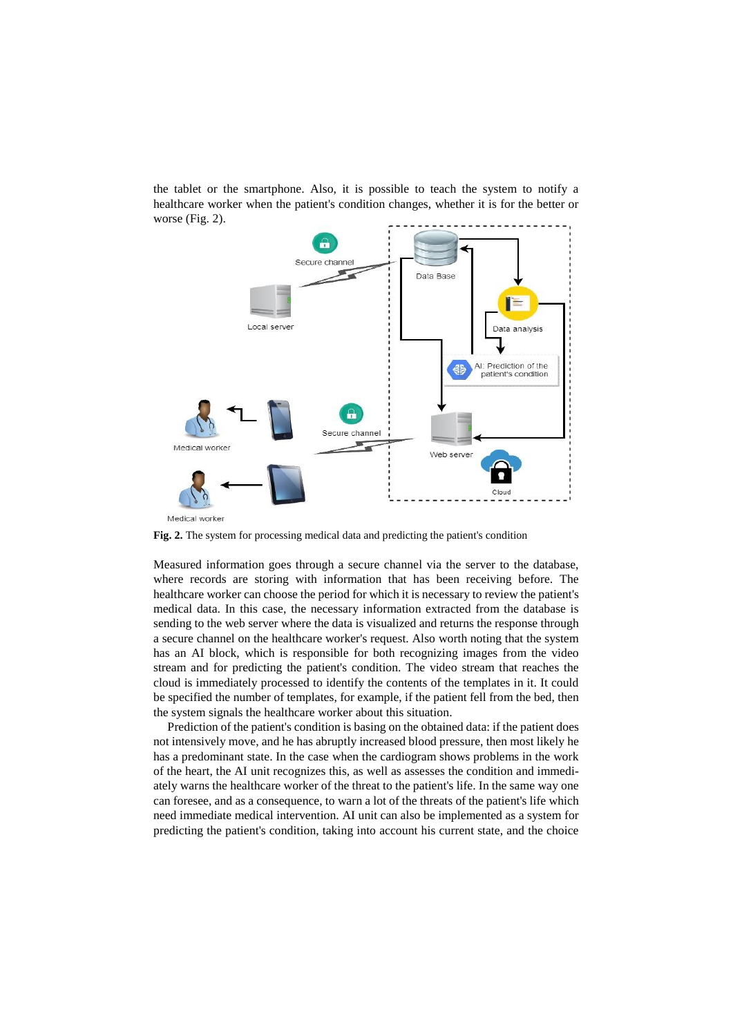the tablet or the smartphone. Also, it is possible to teach the system to notify a healthcare worker when the patient's condition changes, whether it is for the better or worse (Fig. 2).



**Fig. 2.** The system for processing medical data and predicting the patient's condition

Measured information goes through a secure channel via the server to the database, where records are storing with information that has been receiving before. The healthcare worker can choose the period for which it is necessary to review the patient's medical data. In this case, the necessary information extracted from the database is sending to the web server where the data is visualized and returns the response through a secure channel on the healthcare worker's request. Also worth noting that the system has an AI block, which is responsible for both recognizing images from the video stream and for predicting the patient's condition. The video stream that reaches the cloud is immediately processed to identify the contents of the templates in it. It could be specified the number of templates, for example, if the patient fell from the bed, then the system signals the healthcare worker about this situation.

Prediction of the patient's condition is basing on the obtained data: if the patient does not intensively move, and he has abruptly increased blood pressure, then most likely he has a predominant state. In the case when the cardiogram shows problems in the work of the heart, the AI unit recognizes this, as well as assesses the condition and immediately warns the healthcare worker of the threat to the patient's life. In the same way one can foresee, and as a consequence, to warn a lot of the threats of the patient's life which need immediate medical intervention. AI unit can also be implemented as a system for predicting the patient's condition, taking into account his current state, and the choice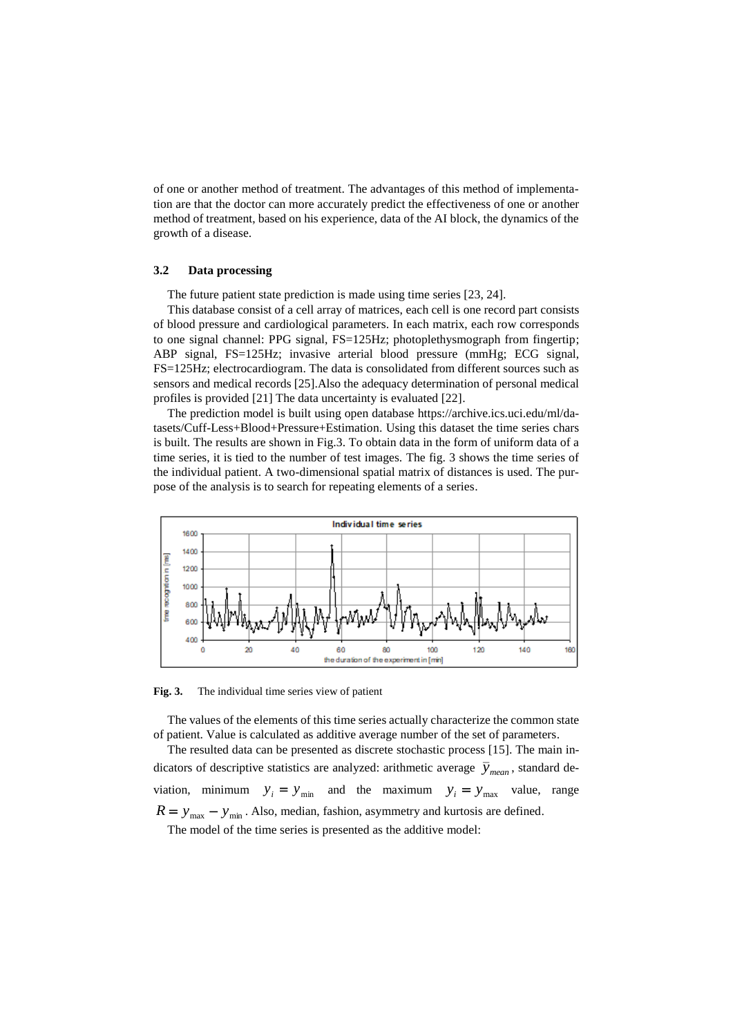of one or another method of treatment. The advantages of this method of implementation are that the doctor can more accurately predict the effectiveness of one or another method of treatment, based on his experience, data of the AI block, the dynamics of the growth of a disease.

#### **3.2 Data processing**

The future patient state prediction is made using time series [23, 24].

This database consist of a cell array of matrices, each cell is one record part consists of blood pressure and cardiological parameters. In each matrix, each row corresponds to one signal channel: PPG signal, FS=125Hz; photoplethysmograph from fingertip; ABP signal, FS=125Hz; invasive arterial blood pressure (mmHg; ECG signal, FS=125Hz; electrocardiogram. The data is consolidated from different sources such as sensors and medical records [25].Also the adequacy determination of personal medical profiles is provided [21] The data uncertainty is evaluated [22].

The prediction model is built using open database [https://archive.ics.uci.edu/ml/da](https://archive.ics.uci.edu/ml/datasets/Cuff-Less+Blood+Pressure+Estimation)[tasets/Cuff-Less+Blood+Pressure+Estimation.](https://archive.ics.uci.edu/ml/datasets/Cuff-Less+Blood+Pressure+Estimation) Using this dataset the time series chars is built. The results are shown in Fig.3. To obtain data in the form of uniform data of a time series, it is tied to the number of test images. The fig. 3 shows the time series of the individual patient. A two-dimensional spatial matrix of distances is used. The purpose of the analysis is to search for repeating elements of a series.



**Fig. 3.** The individual time series view of patient

The values of the elements of this time series actually characterize the common state of patient. Value is calculated as additive average number of the set of parameters.

The resulted data can be presented as discrete stochastic process [15]. The main indicators of descriptive statistics are analyzed: arithmetic average  $\bar{y}_{mean}$ , standard deviation, minimum  $y_i = y_{min}$  and the maximum  $y_i = y_{max}$ value, range  $R = y_{\text{max}} - y_{\text{min}}$ . Also, median, fashion, asymmetry and kurtosis are defined.

The model of the time series is presented as the additive model: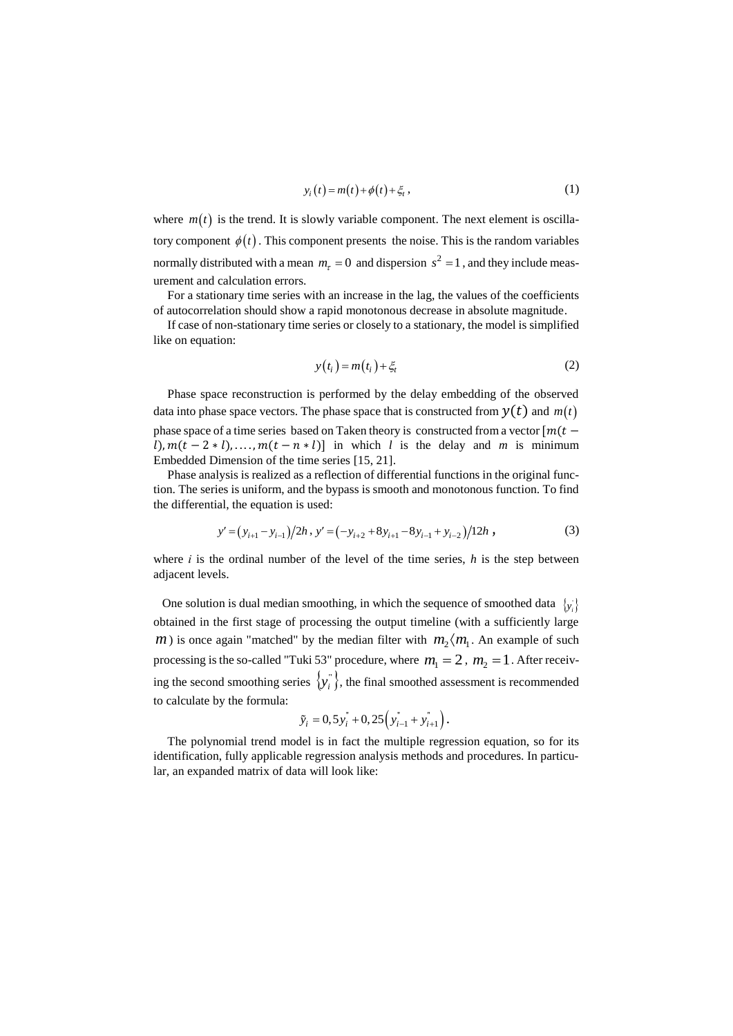$$
y_i(t) = m(t) + \phi(t) + \xi_t, \qquad (1)
$$

where  $m(t)$  is the trend. It is slowly variable component. The next element is oscillatory component  $\phi(t)$ . This component presents the noise. This is the random variables normally distributed with a mean  $m<sub>\tau</sub> = 0$  and dispersion  $s<sup>2</sup> = 1$ , and they include measurement and calculation errors.

For a stationary time series with an increase in the lag, the values of the coefficients of autocorrelation should show a rapid monotonous decrease in absolute magnitude.

If case of non-stationary time series or closely to a stationary, the model is simplified like on equation:

$$
y(t_i) = m(t_i) + \xi_t
$$
 (2)

Phase space reconstruction is performed by the delay embedding of the observed data into phase space vectors. The phase space that is constructed from  $y(t)$  and  $\mathit{m}(t)$ phase space of a time series based on Taken theory is constructed from a vector  $[m(t (l)$ ,  $m(t - 2 * l)$ , ...,  $m(t - n * l)$  in which *l* is the delay and *m* is minimum Embedded Dimension of the time series [15, 21].

Phase analysis is realized as a reflection of differential functions in the original function. The series is uniform, and the bypass is smooth and monotonous function. To find the differential, the equation is used:

$$
y' = (y_{i+1} - y_{i-1})/2h, y' = (-y_{i+2} + 8y_{i+1} - 8y_{i-1} + y_{i-2})/12h,
$$
 (3)

where  $i$  is the ordinal number of the level of the time series,  $h$  is the step between adjacent levels.

One solution is dual median smoothing, in which the sequence of smoothed data  $\{y_i\}$ obtained in the first stage of processing the output timeline (with a sufficiently large *m*) is once again "matched" by the median filter with  $m_2 \langle m_1$ . An example of such processing is the so-called "Tuki 53" procedure, where  $m_1 = 2$ ,  $m_2 = 1$ . After receiving the second smoothing series  $\{y_i^{\text{''}}\}$ , the final smoothed assessment is recommended to calculate by the formula:

$$
\tilde{y}_i = 0, 5y_i + 0, 25(y_{i-1}^* + y_{i+1}^*)
$$

The polynomial trend model is in fact the multiple regression equation, so for its identification, fully applicable regression analysis methods and procedures. In particular, an expanded matrix of data will look like: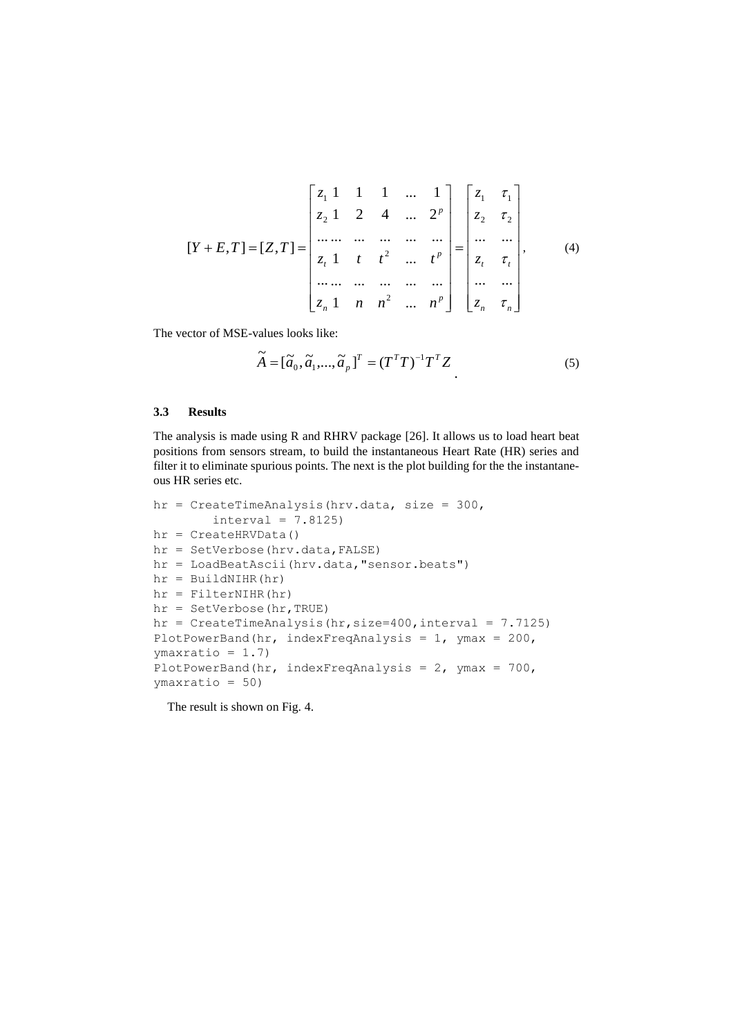$$
[Y+E,T]=[Z,T]=\begin{bmatrix}z_1 & 1 & 1 & \dots & 1\\z_2 & 1 & 2 & 4 & \dots & 2^p\\ \dots & \dots & \dots & \dots & \dots\\z_r & 1 & t & t^2 & \dots & t^p\\ \dots & \dots & \dots & \dots & \dots\\z_n & 1 & n & n^2 & \dots & n^p\end{bmatrix}=\begin{bmatrix}z_1 & \tau_1\\z_2 & \tau_2\\ \dots & \dots\\z_r & \tau_r\\z_r & \tau_r\\z_n & \tau_n\end{bmatrix},\qquad(4)
$$

The vector of MSE-values looks like:

$$
\widetilde{A} = [\widetilde{a}_0, \widetilde{a}_1, \dots, \widetilde{a}_p]^T = (T^T T)^{-1} T^T Z
$$
\n<sup>(5)</sup>

### **3.3 Results**

The analysis is made using R and RHRV package [26]. It allows us to load heart beat positions from sensors stream, to build the instantaneous Heart Rate (HR) series and filter it to eliminate spurious points. The next is the plot building for the the instantaneous HR series etc.

```
hr = CreateTimeAnalysis(hrv.data, size = 300,interval = 7.8125)
hr = CreateHRVData()
hr = SetVerbose(hrv.data,FALSE)
hr = LoadBeatAscii(hrv.data,"sensor.beats")
hr = BuildNIHR(hr)
hr = FilterNIHR(hr)
hr = SetVerbose(hr,TRUE)
hr = CreateTimeAnalysis(hr, size=400, interval = 7.7125)PlotPowerBand(hr, indexFreqAnalysis = 1, ymax = 200, 
ymaxratio = 1.7)
PlotPowerBand(hr, indexFreqAnalysis = 2, ymax = 700, 
ymaxratio = 50)
```
The result is shown on Fig. 4.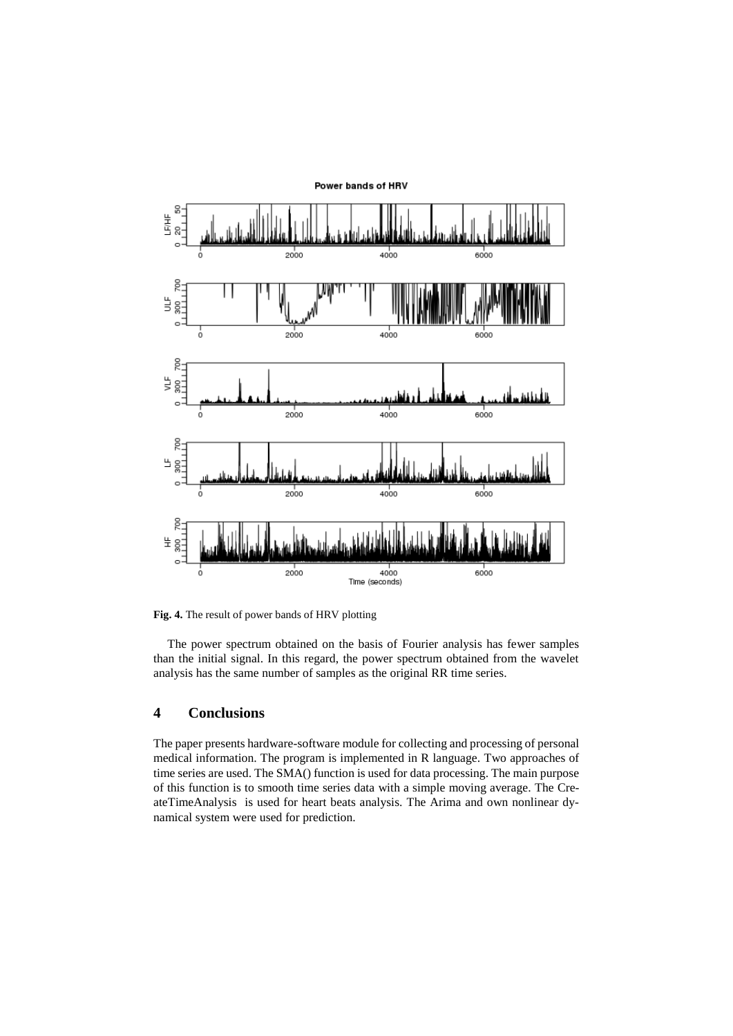

**Fig. 4.** The result of power bands of HRV plotting

The power spectrum obtained on the basis of Fourier analysis has fewer samples than the initial signal. In this regard, the power spectrum obtained from the wavelet analysis has the same number of samples as the original RR time series.

## **4 Conclusions**

The paper presents hardware-software module for collecting and processing of personal medical information. The program is implemented in R language. Two approaches of time series are used. The SMA() function is used for data processing. The main purpose of this function is to smooth time series data with a simple moving average. The CreateTimeAnalysis is used for heart beats analysis. The Arima and own nonlinear dynamical system were used for prediction.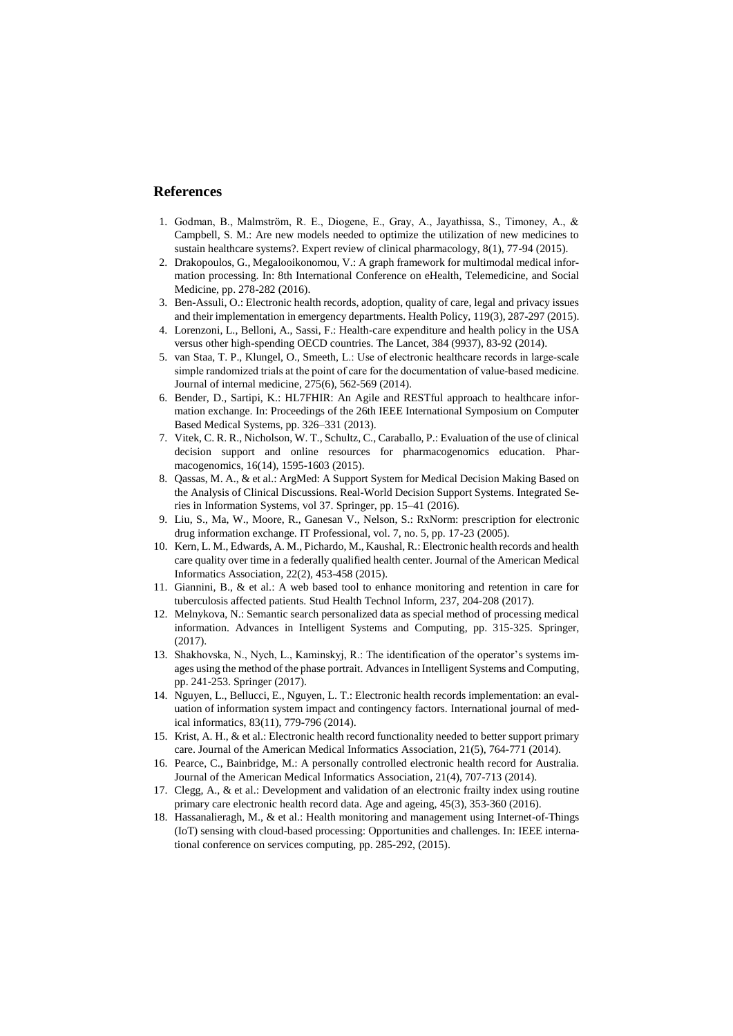## **References**

- 1. Godman, B., Malmström, R. E., Diogene, E., Gray, A., Jayathissa, S., Timoney, A., & Campbell, S. M.: Are new models needed to optimize the utilization of new medicines to sustain healthcare systems?. Expert review of clinical pharmacology, 8(1), 77-94 (2015).
- 2. Drakopoulos, G., Megalooikonomou, V.: A graph framework for multimodal medical information processing. In: 8th International Conference on eHealth, Telemedicine, and Social Medicine, pp. 278-282 (2016).
- 3. Ben-Assuli, O.: Electronic health records, adoption, quality of care, legal and privacy issues and their implementation in emergency departments. Health Policy, 119(3), 287-297 (2015).
- 4. Lorenzoni, L., Belloni, A., Sassi, F.: Health-care expenditure and health policy in the USA versus other high-spending OECD countries. The Lancet, 384 (9937), 83-92 (2014).
- 5. van Staa, T. P., Klungel, O., Smeeth, L.: Use of electronic healthcare records in large‐scale simple randomized trials at the point of care for the documentation of value-based medicine. Journal of internal medicine, 275(6), 562-569 (2014).
- 6. Bender, D., Sartipi, K.: HL7FHIR: An Agile and RESTful approach to healthcare information exchange. In: Proceedings of the 26th IEEE International Symposium on Computer Based Medical Systems, pp. 326–331 (2013).
- 7. Vitek, C. R. R., Nicholson, W. T., Schultz, C., Caraballo, P.: Evaluation of the use of clinical decision support and online resources for pharmacogenomics education. Pharmacogenomics, 16(14), 1595-1603 (2015).
- 8. Qassas, M. A., & et al.: ArgMed: A Support System for Medical Decision Making Based on the Analysis of Clinical Discussions. Real-World Decision Support Systems. Integrated Series in Information Systems, vol 37. Springer, pp. 15–41 (2016).
- 9. Liu, S., Ma, W., Moore, R., Ganesan V., Nelson, S.: RxNorm: prescription for electronic drug information exchange. IT Professional, vol. 7, no. 5, pp. 17-23 (2005).
- 10. Kern, L. M., Edwards, A. M., Pichardo, M., Kaushal, R.: Electronic health records and health care quality over time in a federally qualified health center. Journal of the American Medical Informatics Association, 22(2), 453-458 (2015).
- 11. Giannini, B., & et al.: A web based tool to enhance monitoring and retention in care for tuberculosis affected patients. Stud Health Technol Inform, 237, 204-208 (2017).
- 12. Melnykova, N.: Semantic search personalized data as special method of processing medical information. Advances in Intelligent Systems and Computing, pp. 315-325. Springer, (2017).
- 13. Shakhovska, N., Nych, L., Kaminskyj, R.: The identification of the operator's systems images using the method of the phase portrait. Advances in Intelligent Systems and Computing, pp. 241-253. Springer (2017).
- 14. Nguyen, L., Bellucci, E., Nguyen, L. T.: Electronic health records implementation: an evaluation of information system impact and contingency factors. International journal of medical informatics, 83(11), 779-796 (2014).
- 15. Krist, A. H., & et al.: Electronic health record functionality needed to better support primary care. Journal of the American Medical Informatics Association, 21(5), 764-771 (2014).
- 16. Pearce, C., Bainbridge, M.: A personally controlled electronic health record for Australia. Journal of the American Medical Informatics Association, 21(4), 707-713 (2014).
- 17. Clegg, A., & et al.: Development and validation of an electronic frailty index using routine primary care electronic health record data. Age and ageing, 45(3), 353-360 (2016).
- 18. Hassanalieragh, M., & et al.: Health monitoring and management using Internet-of-Things (IoT) sensing with cloud-based processing: Opportunities and challenges. In: IEEE international conference on services computing, pp. 285-292, (2015).